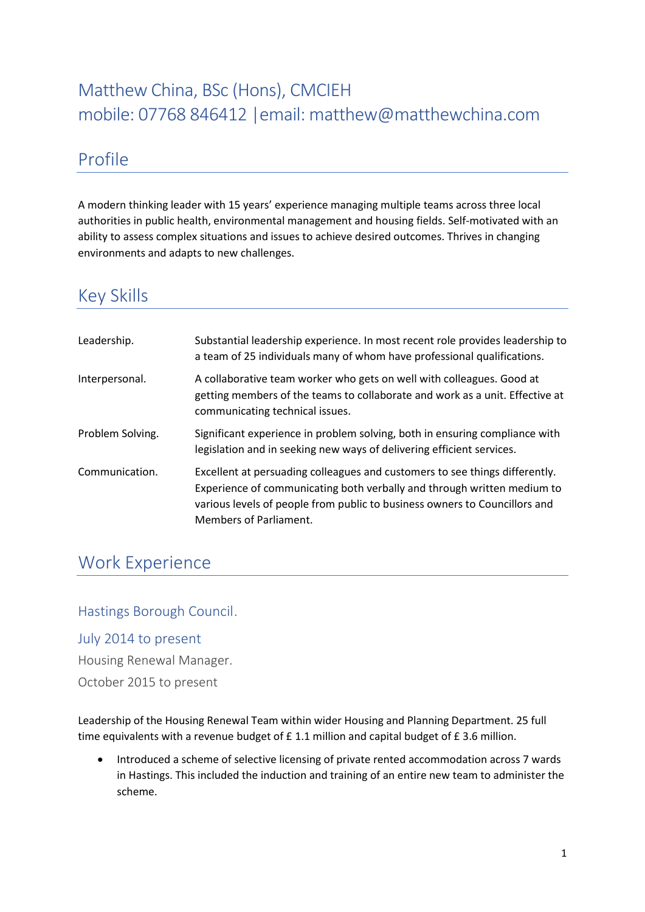## Matthew China, BSc (Hons), CMCIEH mobile: 07768 846412 |email: matthew@matthewchina.com

# Profile

A modern thinking leader with 15 years' experience managing multiple teams across three local authorities in public health, environmental management and housing fields. Self-motivated with an ability to assess complex situations and issues to achieve desired outcomes. Thrives in changing environments and adapts to new challenges.

## Key Skills

| Leadership.      | Substantial leadership experience. In most recent role provides leadership to<br>a team of 25 individuals many of whom have professional qualifications.                                                                                                              |
|------------------|-----------------------------------------------------------------------------------------------------------------------------------------------------------------------------------------------------------------------------------------------------------------------|
| Interpersonal.   | A collaborative team worker who gets on well with colleagues. Good at<br>getting members of the teams to collaborate and work as a unit. Effective at<br>communicating technical issues.                                                                              |
| Problem Solving. | Significant experience in problem solving, both in ensuring compliance with<br>legislation and in seeking new ways of delivering efficient services.                                                                                                                  |
| Communication.   | Excellent at persuading colleagues and customers to see things differently.<br>Experience of communicating both verbally and through written medium to<br>various levels of people from public to business owners to Councillors and<br><b>Members of Parliament.</b> |

## Work Experience

Hastings Borough Council.

July 2014 to present Housing Renewal Manager. October 2015 to present

Leadership of the Housing Renewal Team within wider Housing and Planning Department. 25 full time equivalents with a revenue budget of £ 1.1 million and capital budget of £ 3.6 million.

• Introduced a scheme of selective licensing of private rented accommodation across 7 wards in Hastings. This included the induction and training of an entire new team to administer the scheme.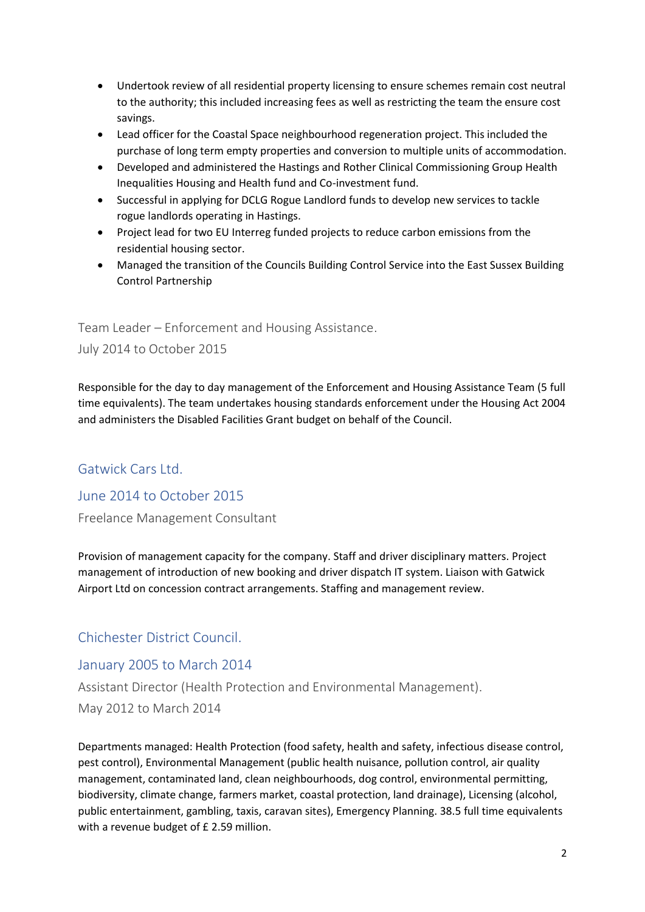- Undertook review of all residential property licensing to ensure schemes remain cost neutral to the authority; this included increasing fees as well as restricting the team the ensure cost savings.
- Lead officer for the Coastal Space neighbourhood regeneration project. This included the purchase of long term empty properties and conversion to multiple units of accommodation.
- Developed and administered the Hastings and Rother Clinical Commissioning Group Health Inequalities Housing and Health fund and Co-investment fund.
- Successful in applying for DCLG Rogue Landlord funds to develop new services to tackle rogue landlords operating in Hastings.
- Project lead for two EU Interreg funded projects to reduce carbon emissions from the residential housing sector.
- Managed the transition of the Councils Building Control Service into the East Sussex Building Control Partnership

Team Leader – Enforcement and Housing Assistance.

July 2014 to October 2015

Responsible for the day to day management of the Enforcement and Housing Assistance Team (5 full time equivalents). The team undertakes housing standards enforcement under the Housing Act 2004 and administers the Disabled Facilities Grant budget on behalf of the Council.

## Gatwick Cars Ltd.

#### June 2014 to October 2015

#### Freelance Management Consultant

Provision of management capacity for the company. Staff and driver disciplinary matters. Project management of introduction of new booking and driver dispatch IT system. Liaison with Gatwick Airport Ltd on concession contract arrangements. Staffing and management review.

#### Chichester District Council.

#### January 2005 to March 2014

Assistant Director (Health Protection and Environmental Management). May 2012 to March 2014

Departments managed: Health Protection (food safety, health and safety, infectious disease control, pest control), Environmental Management (public health nuisance, pollution control, air quality management, contaminated land, clean neighbourhoods, dog control, environmental permitting, biodiversity, climate change, farmers market, coastal protection, land drainage), Licensing (alcohol, public entertainment, gambling, taxis, caravan sites), Emergency Planning. 38.5 full time equivalents with a revenue budget of £ 2.59 million.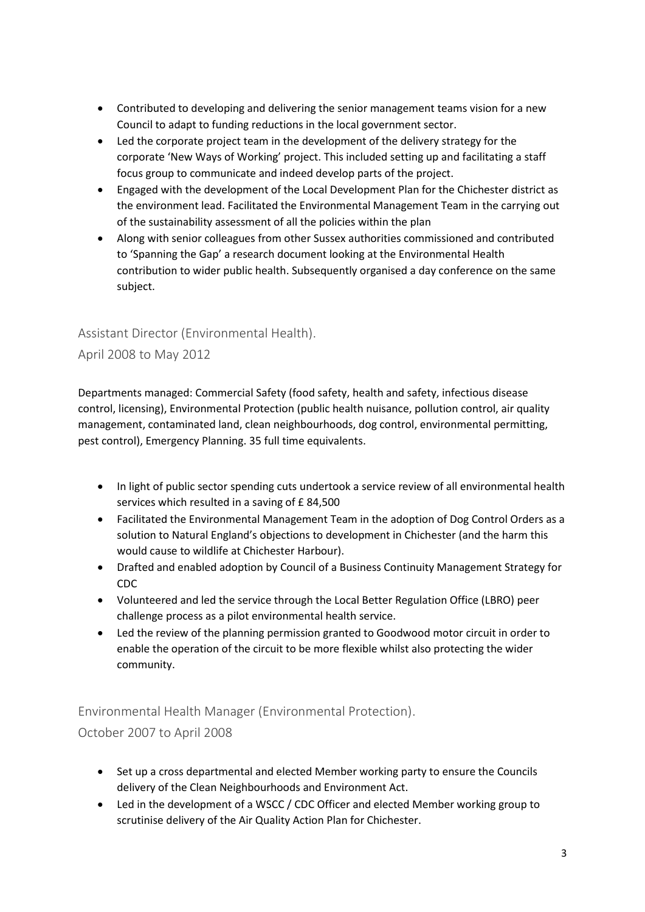- Contributed to developing and delivering the senior management teams vision for a new Council to adapt to funding reductions in the local government sector.
- Led the corporate project team in the development of the delivery strategy for the corporate 'New Ways of Working' project. This included setting up and facilitating a staff focus group to communicate and indeed develop parts of the project.
- Engaged with the development of the Local Development Plan for the Chichester district as the environment lead. Facilitated the Environmental Management Team in the carrying out of the sustainability assessment of all the policies within the plan
- Along with senior colleagues from other Sussex authorities commissioned and contributed to 'Spanning the Gap' a research document looking at the Environmental Health contribution to wider public health. Subsequently organised a day conference on the same subject.

#### Assistant Director (Environmental Health).

## April 2008 to May 2012

Departments managed: Commercial Safety (food safety, health and safety, infectious disease control, licensing), Environmental Protection (public health nuisance, pollution control, air quality management, contaminated land, clean neighbourhoods, dog control, environmental permitting, pest control), Emergency Planning. 35 full time equivalents.

- In light of public sector spending cuts undertook a service review of all environmental health services which resulted in a saving of £ 84,500
- Facilitated the Environmental Management Team in the adoption of Dog Control Orders as a solution to Natural England's objections to development in Chichester (and the harm this would cause to wildlife at Chichester Harbour).
- Drafted and enabled adoption by Council of a Business Continuity Management Strategy for CDC
- Volunteered and led the service through the Local Better Regulation Office (LBRO) peer challenge process as a pilot environmental health service.
- Led the review of the planning permission granted to Goodwood motor circuit in order to enable the operation of the circuit to be more flexible whilst also protecting the wider community.

## Environmental Health Manager (Environmental Protection).

## October 2007 to April 2008

- Set up a cross departmental and elected Member working party to ensure the Councils delivery of the Clean Neighbourhoods and Environment Act.
- Led in the development of a WSCC / CDC Officer and elected Member working group to scrutinise delivery of the Air Quality Action Plan for Chichester.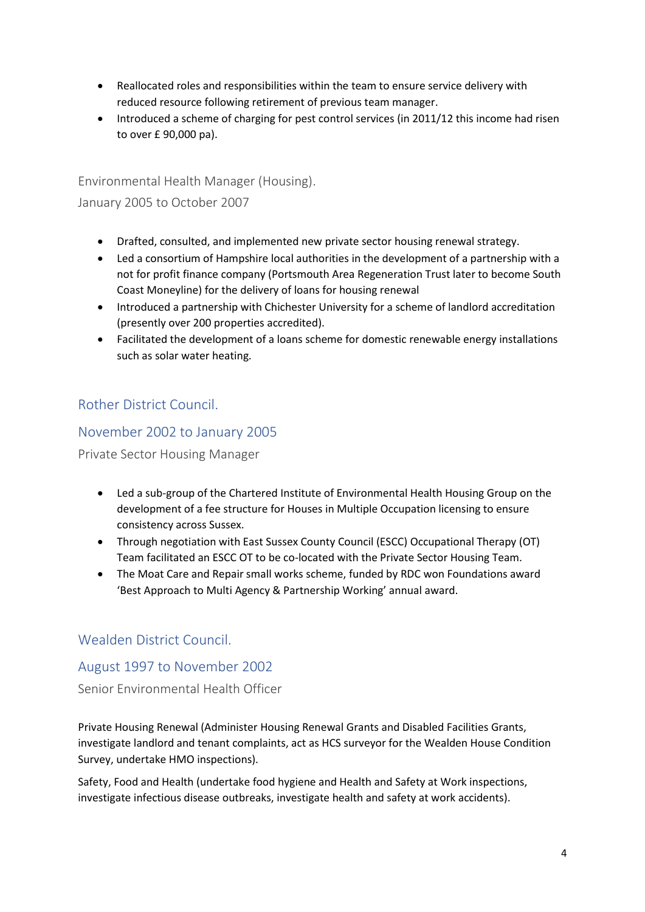- Reallocated roles and responsibilities within the team to ensure service delivery with reduced resource following retirement of previous team manager.
- Introduced a scheme of charging for pest control services (in 2011/12 this income had risen to over £ 90,000 pa).

#### Environmental Health Manager (Housing).

#### January 2005 to October 2007

- Drafted, consulted, and implemented new private sector housing renewal strategy.
- Led a consortium of Hampshire local authorities in the development of a partnership with a not for profit finance company (Portsmouth Area Regeneration Trust later to become South Coast Moneyline) for the delivery of loans for housing renewal
- Introduced a partnership with Chichester University for a scheme of landlord accreditation (presently over 200 properties accredited).
- Facilitated the development of a loans scheme for domestic renewable energy installations such as solar water heating.

## Rother District Council.

#### November 2002 to January 2005

Private Sector Housing Manager

- Led a sub-group of the Chartered Institute of Environmental Health Housing Group on the development of a fee structure for Houses in Multiple Occupation licensing to ensure consistency across Sussex.
- Through negotiation with East Sussex County Council (ESCC) Occupational Therapy (OT) Team facilitated an ESCC OT to be co-located with the Private Sector Housing Team.
- The Moat Care and Repair small works scheme, funded by RDC won Foundations award 'Best Approach to Multi Agency & Partnership Working' annual award.

## Wealden District Council.

## August 1997 to November 2002

Senior Environmental Health Officer

Private Housing Renewal (Administer Housing Renewal Grants and Disabled Facilities Grants, investigate landlord and tenant complaints, act as HCS surveyor for the Wealden House Condition Survey, undertake HMO inspections).

Safety, Food and Health (undertake food hygiene and Health and Safety at Work inspections, investigate infectious disease outbreaks, investigate health and safety at work accidents).